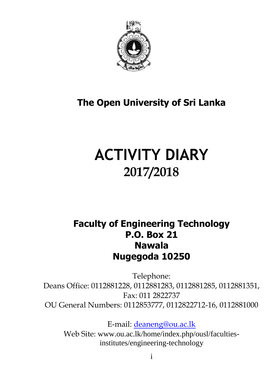

## **The Open University of Sri Lanka**

# **ACTIVITY DIARY 2017/2018**

### **Faculty of Engineering Technology P.O. Box 21 Nawala Nugegoda 10250**

Telephone: Deans Office: 0112881228, 0112881283, 0112881285, 0112881351, Fax: 011 2822737 OU General Numbers: 0112853777, 0112822712-16, 0112881000

E-mail: [deaneng@ou.ac.lk](mailto:deaneng@ou.ac.lk) Web Site: www.ou.ac.lk/home/index.php/ousl/facultiesinstitutes/engineering-technology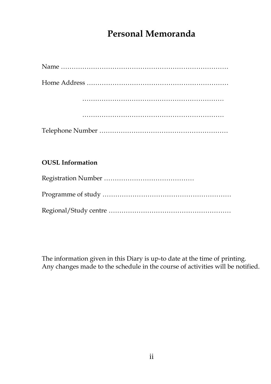### **Personal Memoranda**

#### **OUSL Information**

The information given in this Diary is up-to date at the time of printing. Any changes made to the schedule in the course of activities will be notified.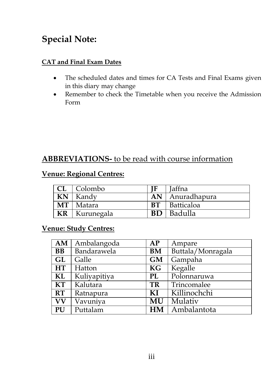### **Special Note:**

#### **CAT and Final Exam Dates**

- The scheduled dates and times for CA Tests and Final Exams given in this diary may change
- Remember to check the Timetable when you receive the Admission Form

### **ABBREVIATIONS-** to be read with course information

#### **Venue: Regional Centres:**

|           | $CL$   Colombo           |           | <b>Jaffna</b> |
|-----------|--------------------------|-----------|---------------|
| KN        | Kandy                    | AN        | Anuradhapura  |
|           | $\overline{MT}$   Matara | <b>BT</b> | Batticaloa    |
| <b>KR</b> | Kurunegala               | <b>BD</b> | Badulla       |

#### **Venue: Study Centres:**

| AM                     | Ambalangoda  | AP        | Ampare            |
|------------------------|--------------|-----------|-------------------|
| <b>BB</b>              | Bandarawela  | <b>BM</b> | Buttala/Monragala |
| GL                     | Galle        | <b>GM</b> | Gampaha           |
| HT                     | Hatton       | <b>KG</b> | Kegalle           |
| KL                     | Kuliyapitiya | <b>PL</b> | Polonnaruwa       |
| $\overline{\text{KT}}$ | Kalutara     | <b>TR</b> | Trincomalee       |
| RT                     | Ratnapura    | KI        | Killinochchi      |
| <b>VV</b>              | Vavuniya     | MU        | Mulativ           |
| PU                     | Puttalam     | HM        | Ambalantota       |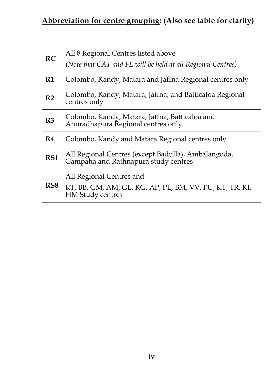### **Abbreviation for centre grouping: (Also see table for clarity)**

| RC              | All 8 Regional Centres listed above<br>(Note that CAT and FE will be held at all Regional Centres)             |
|-----------------|----------------------------------------------------------------------------------------------------------------|
| R1              | Colombo, Kandy, Matara and Jaffna Regional centres only                                                        |
| R <sub>2</sub>  | Colombo, Kandy, Matara, Jaffna, and Batticaloa Regional<br>centres only                                        |
| R <sub>3</sub>  | Colombo, Kandy, Matara, Jaffna, Batticaloa and<br>Anuradhapura Regional centres only                           |
| R4              | Colombo, Kandy and Matara Regional centres only                                                                |
| RS1             | All Regional Centres (except Badulla), Ambalangoda,<br>Gampaha and Rathnapura study centres                    |
| RS <sub>8</sub> | All Regional Centres and<br>RT, BB, GM, AM, GL, KG, AP, PL, BM, VV, PU, KT, TR, KI,<br><b>HM</b> Study centres |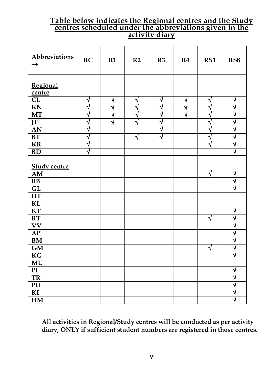#### **Table below indicates the Regional centres and the Study centres scheduled under the abbreviations given in the activity diary**

| Abbreviations<br>$\rightarrow$ | RC | R1                      | R2 | R3 | R <sub>4</sub> | RS1       | RS8                          |
|--------------------------------|----|-------------------------|----|----|----------------|-----------|------------------------------|
| Regional<br>centre             |    |                         |    |    |                |           |                              |
| CL                             | √  | N                       | √  | √  | √              | V         | ٦                            |
| <b>KN</b>                      | N  | $\overline{\mathbf{v}}$ | √  | N  | √              | N         | $\overline{\mathbf{v}}$      |
| MT                             | N  | N                       | √  | ٦  | √              | Ń         | Ń                            |
| JF                             | N  | ٦                       | √  | ٦  |                | N         | Ń                            |
| AN                             | Ń  |                         |    | Ń  |                | Ń         | $\overline{\mathbf{v}}$      |
| BT                             | ٦  |                         | √  | Ñ  |                | ٦         | $\overline{\mathsf{v}}$      |
| KR                             | N  |                         |    |    |                | $\sqrt{}$ | $\overline{\sqrt{ }}$        |
| <b>BD</b>                      | Ń  |                         |    |    |                |           | $\overline{\mathbf{v}}$      |
| <b>Study centre</b>            |    |                         |    |    |                |           |                              |
| AM                             |    |                         |    |    |                | √         | N                            |
| <b>BB</b>                      |    |                         |    |    |                |           | ٦<br>ż                       |
| GL                             |    |                         |    |    |                |           |                              |
| <b>HT</b>                      |    |                         |    |    |                |           |                              |
| KL                             |    |                         |    |    |                |           |                              |
| KT                             |    |                         |    |    |                |           | N                            |
| RT                             |    |                         |    |    |                | $\sqrt{}$ | Ń                            |
| $\overline{\text{VV}}$         |    |                         |    |    |                |           | $\overline{\mathbf{v}}$      |
| AP                             |    |                         |    |    |                |           | Ń                            |
| <b>BM</b>                      |    |                         |    |    |                |           | Ń                            |
| GM                             |    |                         |    |    |                | $\sqrt{}$ | $\overline{\mathbf{v}}$<br>Ñ |
| $\overline{\text{KG}}$         |    |                         |    |    |                |           |                              |
| $\overline{\text{MU}}$         |    |                         |    |    |                |           |                              |
| <b>PL</b>                      |    |                         |    |    |                |           | ٦                            |
| $\overline{\text{TR}}$         |    |                         |    |    |                |           | $\overline{\mathbf{v}}$      |
| $\overline{PU}$                |    |                         |    |    |                |           | $\overline{\mathbf{v}}$      |
| $\overline{K}$                 |    |                         |    |    |                |           | $\overline{\mathsf{v}}$      |
| HM                             |    |                         |    |    |                |           | $\overline{\mathbf{v}}$      |

**All activities in Regional/Study centres will be conducted as per activity diary, ONLY if sufficient student numbers are registered in those centres.**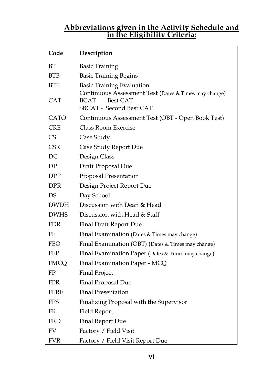#### **Abbreviations given in the Activity Schedule and in the Eligibility Criteria:**

| Code        | Description                                                                               |
|-------------|-------------------------------------------------------------------------------------------|
| <b>BT</b>   | <b>Basic Training</b>                                                                     |
| BTB         | <b>Basic Training Begins</b>                                                              |
| <b>BTE</b>  | <b>Basic Training Evaluation</b><br>Continuous Assessment Test (Dates & Times may change) |
| CAT         | BCAT - Best CAT<br>SBCAT - Second Best CAT                                                |
| <b>CATO</b> | Continuous Assessment Test (OBT - Open Book Test)                                         |
| CRE         | Class Room Exercise                                                                       |
| <b>CS</b>   | Case Study                                                                                |
| CSR         | Case Study Report Due                                                                     |
| DC          | Design Class                                                                              |
| DΡ          | Draft Proposal Due                                                                        |
| DPP         | Proposal Presentation                                                                     |
| <b>DPR</b>  | Design Project Report Due                                                                 |
| DS          | Day School                                                                                |
| <b>DWDH</b> | Discussion with Dean & Head                                                               |
| <b>DWHS</b> | Discussion with Head & Staff                                                              |
| <b>FDR</b>  | <b>Final Draft Report Due</b>                                                             |
| FF.         | Final Examination (Dates & Times may change)                                              |
| FEO         | Final Examination (OBT) (Dates & Times may change)                                        |
| FEP         | Final Examination Paper (Dates & Times may change)                                        |
| FMCQ        | Final Examination Paper - MCQ                                                             |
| FP          | <b>Final Project</b>                                                                      |
| FPR         | Final Proposal Due                                                                        |
| FPRE        | <b>Final Presentation</b>                                                                 |
| <b>FPS</b>  | Finalizing Proposal with the Supervisor                                                   |
| FR          | Field Report                                                                              |
| FRD         | Final Report Due                                                                          |
| FV          | Factory / Field Visit                                                                     |
| FVR         | Factory / Field Visit Report Due                                                          |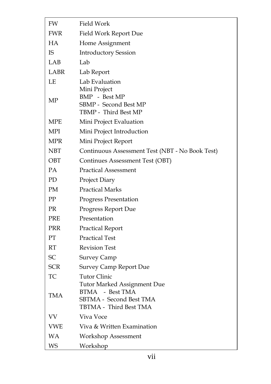| FW         | Field Work                                                                                                 |
|------------|------------------------------------------------------------------------------------------------------------|
| FWR        | Field Work Report Due                                                                                      |
| <b>HA</b>  | Home Assignment                                                                                            |
| IS         | <b>Introductory Session</b>                                                                                |
| LAB        | Lab                                                                                                        |
| LABR       | Lab Report                                                                                                 |
| LE         | Lab Evaluation                                                                                             |
| МP         | Mini Project<br>BMP - Best MP<br>SBMP - Second Best MP<br>TBMP - Third Best MP                             |
| MPE        | Mini Project Evaluation                                                                                    |
| MPI        | Mini Project Introduction                                                                                  |
| MPR        | Mini Project Report                                                                                        |
| NBT        | Continuous Assessment Test (NBT - No Book Test)                                                            |
| OBT        | Continues Assessment Test (OBT)                                                                            |
| <b>PA</b>  | <b>Practical Assessment</b>                                                                                |
| PD         | Project Diary                                                                                              |
| PM         | <b>Practical Marks</b>                                                                                     |
| PP         | Progress Presentation                                                                                      |
| <b>PR</b>  | Progress Report Due                                                                                        |
| <b>PRE</b> | Presentation                                                                                               |
| PRR        | <b>Practical Report</b>                                                                                    |
| PT         | <b>Practical Test</b>                                                                                      |
| RT         | <b>Revision Test</b>                                                                                       |
| SС         | Survey Camp                                                                                                |
| <b>SCR</b> | <b>Survey Camp Report Due</b>                                                                              |
| TC         | <b>Tutor Clinic</b>                                                                                        |
| <b>TMA</b> | <b>Tutor Marked Assignment Due</b><br>BTMA - Best TMA<br>SBTMA - Second Best TMA<br>TBTMA - Third Best TMA |
| VV         | Viva Voce                                                                                                  |
| <b>VWE</b> | Viva & Written Examination                                                                                 |
| WΑ         | <b>Workshop Assessment</b>                                                                                 |
| WS         | Workshop                                                                                                   |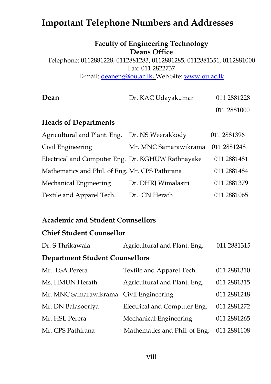### **Important Telephone Numbers and Addresses**

#### **Faculty of Engineering Technology Deans Office**

Telephone: 0112881228, 0112881283, 0112881285, 0112881351, 0112881000 Fax: 011 2822737 E-mail: [deaneng@ou.ac.lk,](mailto:deaneng@ou.ac.lk) Web Site: [www.ou.ac.lk](http://www.ou.ac.lk/)

| Dean                 | Dr. KAC Udayakumar | 011 2881228 |
|----------------------|--------------------|-------------|
|                      |                    | 011 2881000 |
| Haade of Danartmante |                    |             |

#### **Heads of Departments**

| Agricultural and Plant. Eng.                      | Dr. NS Weerakkody     | 011 2881396  |
|---------------------------------------------------|-----------------------|--------------|
| Civil Engineering                                 | Mr. MNC Samarawikrama | 011 2881 248 |
| Electrical and Computer Eng. Dr. KGHUW Rathnayake |                       | 011 2881481  |
| Mathematics and Phil. of Eng. Mr. CPS Pathirana   |                       | 011 2881484  |
| Mechanical Engineering                            | Dr. DHRJ Wimalasiri   | 011 2881379  |
| Textile and Apparel Tech.                         | Dr. CN Herath         | 011 2881065  |

#### **Academic and Student Counsellors**

#### **Chief Student Counsellor**

| Dr. S Thrikawala | Agricultural and Plant. Eng. | 011 2881315 |
|------------------|------------------------------|-------------|
|                  |                              |             |

#### **Department Student Counsellors**

| Mr. LSA Perera                          | Textile and Apparel Tech.     | 011 2881310  |
|-----------------------------------------|-------------------------------|--------------|
| Ms. HMUN Herath                         | Agricultural and Plant. Eng.  | 011 2881315  |
| Mr. MNC Samarawikrama Civil Engineering |                               | 011 2881248  |
| Mr. DN Balasooriya                      | Electrical and Computer Eng.  | 011 2881272  |
| Mr. HSL Perera                          | Mechanical Engineering        | 011 2881 265 |
| Mr. CPS Pathirana                       | Mathematics and Phil. of Eng. | 011 2881108  |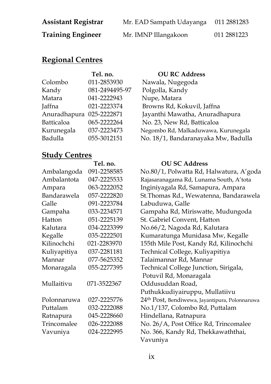| <b>Assistant Registrar</b> | Mr. EAD Sampath Udayanga | 011 2881283 |
|----------------------------|--------------------------|-------------|
| <b>Training Engineer</b>   | Mr. IMNP Illangakoon     | 011 2881223 |

### **Regional Centres**

|                          | Tel. no.       | <b>OU RC Address</b>                |
|--------------------------|----------------|-------------------------------------|
| Colombo                  | 011-2853930    | Nawala, Nugegoda                    |
| Kandy                    | 081-2494495-97 | Polgolla, Kandy                     |
| Matara                   | 041-2222943    | Nupe, Matara                        |
| Jaffna                   | 021-2223374    | Browns Rd, Kokuvil, Jaffna          |
| Anuradhapura 025-2222871 |                | Jayanthi Mawatha, Anuradhapura      |
| Batticaloa               | 065-2222264    | No. 23, New Rd, Batticaloa          |
| Kurunegala               | 037-2223473    | Negombo Rd, Malkaduwawa, Kurunegala |
| Badulla                  | 055-3012151    | No. 18/1, Bandaranayaka Mw, Badulla |
|                          |                |                                     |

#### **Study Centres**

|              | Tel. no.    | <b>OU SC Address</b>                    |
|--------------|-------------|-----------------------------------------|
| Ambalangoda  | 091-2258585 | No.80/1, Polwatta Rd, H                 |
| Ambalantota  | 047-2225533 | Rajasaranagama Rd, Lunam                |
| Ampara       | 063-2222052 | Inginiyagala Rd, Samapu                 |
| Bandarawela  | 057-2222820 | St. Thomas Rd., Wewaten                 |
| Galle        | 091-2223784 | Labuduwa, Galle                         |
| Gampaha      | 033-2234571 | Gampaha Rd, Miriswatte                  |
| Hatton       | 051-2225139 | St. Gabriel Convent, Hatt               |
| Kalutara     | 034-2223399 | No.66/2, Nagoda Rd, Ka                  |
| Kegalle      | 035-2222501 | Kumaratunga Munidasa                    |
| Kilinochchi  | 021-2283970 | 155th Mile Post, Kandy R                |
| Kuliyapitiya | 037-2281181 | Technical College, Kuliya               |
| Mannar       | 077-5625352 | Talaimannar Rd, Mannar                  |
| Monaragala   | 055-2277395 | <b>Technical College Junctio</b>        |
|              |             | Potuvil Rd, Monaragala                  |
| Mullaitivu   | 071-3522367 | Oddusuddan Road,                        |
|              |             | Puthukkudiyairuppu, M                   |
| Polonnaruwa  | 027-2225776 | 24 <sup>th</sup> Post, Bendiwewa, Jayan |
| Puttalam     | 032-2222088 | No.1/137, Colombo Rd, I                 |
| Ratnapura    | 045-2228660 | Hindellana, Ratnapura                   |
| Trincomalee  | 026-2222088 | No. 26/A, Post Office Rd                |
| Vavuniya     | 024-2222995 | No. 366, Kandy Rd, Thek                 |
|              |             |                                         |

| Ambalangoda  | 091-2258585 | No.80/1, Polwatta Rd, Halwatura, A'goda                    |
|--------------|-------------|------------------------------------------------------------|
| Ambalantota  | 047-2225533 | Rajasaranagama Rd, Lunama South, A'tota                    |
| Ampara       | 063-2222052 | Inginiyagala Rd, Samapura, Ampara                          |
| Bandarawela  | 057-2222820 | St. Thomas Rd., Wewatenna, Bandarawela                     |
| Galle        | 091-2223784 | Labuduwa, Galle                                            |
| Gampaha      | 033-2234571 | Gampaha Rd, Miriswatte, Mudungoda                          |
| Hatton       | 051-2225139 | St. Gabriel Convent, Hatton                                |
| Kalutara     | 034-2223399 | No.66/2, Nagoda Rd, Kalutara                               |
| Kegalle      | 035-2222501 | Kumaratunga Munidasa Mw, Kegalle                           |
| Kilinochchi  | 021-2283970 | 155th Mile Post, Kandy Rd, Kilinochchi                     |
| Kuliyapitiya | 037-2281181 | Technical College, Kuliyapitiya                            |
| Mannar       | 077-5625352 | Talaimannar Rd, Mannar                                     |
| Monaragala   | 055-2277395 | Technical College Junction, Sirigala,                      |
|              |             | Potuvil Rd, Monaragala                                     |
| Mullaitivu   | 071-3522367 | Oddusuddan Road,                                           |
|              |             | Puthukkudiyairuppu, Mullatiivu                             |
| Polonnaruwa  | 027-2225776 | 24 <sup>th</sup> Post, Bendiwewa, Jayantipura, Polonnaruwa |
| Puttalam     | 032-2222088 | No.1/137, Colombo Rd, Puttalam                             |
| Ratnapura    | 045-2228660 | Hindellana, Ratnapura                                      |
| Trincomalee  | 026-2222088 | No. 26/A, Post Office Rd, Trincomalee                      |
| Vavuniya     | 024-2222995 | No. 366, Kandy Rd, Thekkawaththai,                         |
|              |             | Vavuniya                                                   |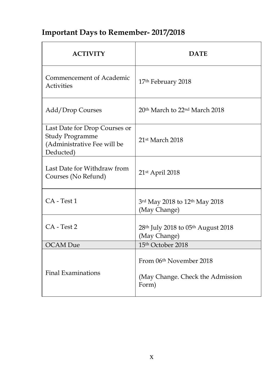### **Important Days to Remember- 2017/2018**

| <b>ACTIVITY</b>                                                                                     | DATE                                                                             |
|-----------------------------------------------------------------------------------------------------|----------------------------------------------------------------------------------|
| Commencement of Academic<br><b>Activities</b>                                                       | 17th February 2018                                                               |
| Add/Drop Courses                                                                                    | 20 <sup>th</sup> March to 22 <sup>nd</sup> March 2018                            |
| Last Date for Drop Courses or<br><b>Study Programme</b><br>(Administrative Fee will be<br>Deducted) | 21st March 2018                                                                  |
| Last Date for Withdraw from<br>Courses (No Refund)                                                  | 21st April 2018                                                                  |
| CA - Test 1                                                                                         | 3rd May 2018 to 12th May 2018<br>(May Change)                                    |
| CA - Test 2                                                                                         | 28 <sup>th</sup> July 2018 to 05 <sup>th</sup> August 2018<br>(May Change)       |
| <b>OCAM</b> Due                                                                                     | 15th October 2018                                                                |
| <b>Final Examinations</b>                                                                           | From 06 <sup>th</sup> November 2018<br>(May Change. Check the Admission<br>Form) |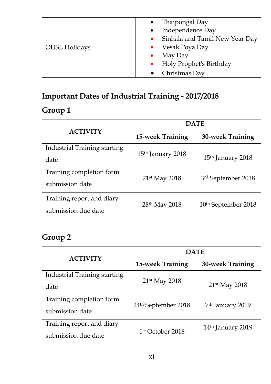|                      | Thaipongal Day                              |
|----------------------|---------------------------------------------|
|                      | Independence Day<br>$\bullet$               |
|                      | Sinhala and Tamil New Year Day<br>$\bullet$ |
| <b>OUSL Holidays</b> | Vesak Poya Day                              |
|                      | May Day<br>۰                                |
|                      | Holy Prophet's Birthday<br>$\bullet$        |
|                      | Christmas Day                               |

### **Important Dates of Industrial Training - 2017/2018**

### **Group 1**

|                              | <b>DATE</b>                   |                                 |  |
|------------------------------|-------------------------------|---------------------------------|--|
| <b>ACTIVITY</b>              | 15-week Training              | <b>30-week Training</b>         |  |
| Industrial Training starting | 15 <sup>th</sup> January 2018 |                                 |  |
| date                         |                               | 15 <sup>th</sup> January 2018   |  |
| Training completion form     | 21st May 2018                 | 3rd September 2018              |  |
| submission date              |                               |                                 |  |
| Training report and diary    |                               |                                 |  |
| submission due date          | 28 <sup>th</sup> May 2018     | 10 <sup>th</sup> September 2018 |  |

### **Group 2**

|                                                  | <b>DATE</b>                     |                               |
|--------------------------------------------------|---------------------------------|-------------------------------|
| <b>ACTIVITY</b>                                  | 15-week Training                | 30-week Training              |
| Industrial Training starting<br>date             | $21st$ May 2018                 | 21st May 2018                 |
| Training completion form<br>submission date      | 24 <sup>th</sup> September 2018 | 7 <sup>th</sup> January 2019  |
| Training report and diary<br>submission due date | 1 <sup>st</sup> October 2018    | 14 <sup>th</sup> January 2019 |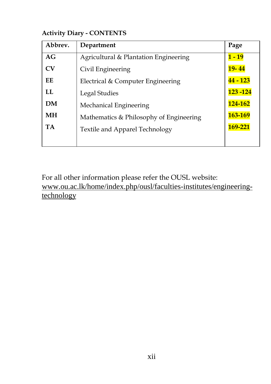#### **Activity Diary - CONTENTS**

| Abbrev.             | Department                              | Page            |
|---------------------|-----------------------------------------|-----------------|
| AG                  | Agricultural & Plantation Engineering   | $1 - 19$        |
| $\overline{\rm CV}$ | Civil Engineering                       | $19 - 44$       |
| EE                  | Electrical & Computer Engineering       | <b>44 - 123</b> |
| LL                  | Legal Studies                           | 123 - 124       |
| DM                  | Mechanical Engineering                  | 124-162         |
| <b>MH</b>           | Mathematics & Philosophy of Engineering | 163-169         |
| <b>TA</b>           | <b>Textile and Apparel Technology</b>   | 169-221         |
|                     |                                         |                 |

For all other information please refer the OUSL website: www.ou.ac.lk/home/index.php/ousl/faculties-institutes/engineeringtechnology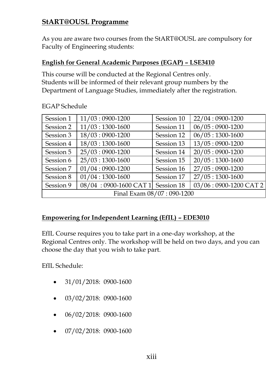### **StART@OUSL Programme**

As you are aware two courses from the StART@OUSL are compulsory for Faculty of Engineering students:

#### **English for General Academic Purposes (EGAP) – LSE3410**

This course will be conducted at the Regional Centres only. Students will be informed of their relevant group numbers by the Department of Language Studies, immediately after the registration.

| Session 1                 | $11/03:0900-1200$     | Session 10 | 22/04:0900-1200       |
|---------------------------|-----------------------|------------|-----------------------|
| Session 2                 | $11/03:1300-1600$     | Session 11 | $06/05:0900-1200$     |
| Session 3                 | $18/03:0900-1200$     | Session 12 | $06/05:1300-1600$     |
| Session 4                 | $18/03:1300-1600$     | Session 13 | $13/05:0900-1200$     |
| Session 5                 | 25/03:0900-1200       | Session 14 | $20/05:0900-1200$     |
| Session 6                 | $25/03:1300-1600$     | Session 15 | $20/05:1300-1600$     |
| Session 7                 | $01/04:0900-1200$     | Session 16 | 27/05:0900-1200       |
| Session 8                 | $01/04:1300-1600$     | Session 17 | $27/05:1300-1600$     |
| Session 9                 | 08/04:0900-1600 CAT 1 | Session 18 | 03/06:0900-1200 CAT 2 |
| Final Exam 08/07:090-1200 |                       |            |                       |

EGAP Schedule

#### **Empowering for Independent Learning (EfIL) – EDE3010**

EfIL Course requires you to take part in a one-day workshop, at the Regional Centres only. The workshop will be held on two days, and you can choose the day that you wish to take part.

EfIL Schedule:

- $\bullet$  31/01/2018: 0900-1600
- 03/02/2018: 0900-1600
- $\bullet$  06/02/2018: 0900-1600
- 07/02/2018: 0900-1600